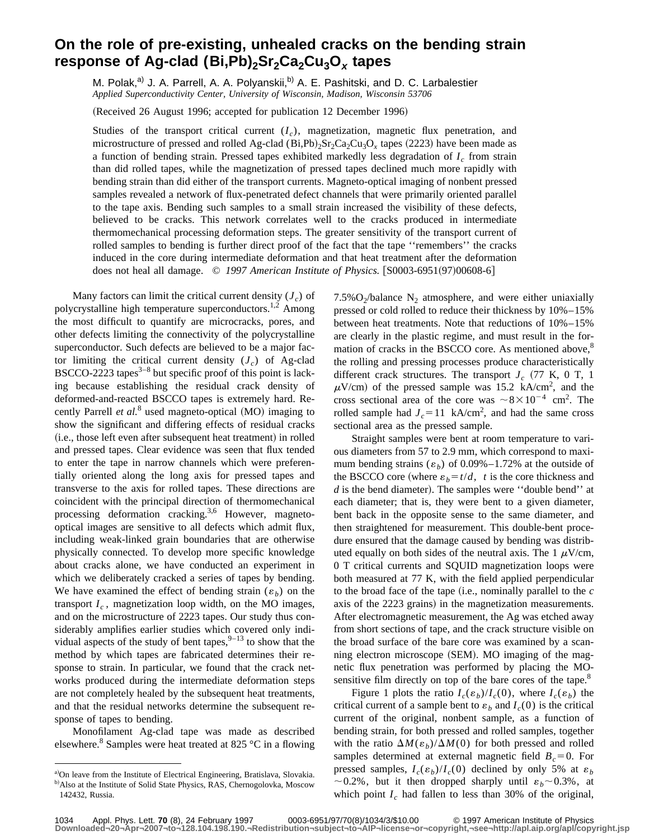## **On the role of pre-existing, unhealed cracks on the bending strain response of Ag-clad (Bi,Pb)<sub>2</sub>Sr<sub>2</sub>Ca<sub>2</sub>Cu<sub>3</sub>O<sub>x</sub> tapes**

M. Polak,<sup>a)</sup> J. A. Parrell, A. A. Polyanskii,<sup>b)</sup> A. E. Pashitski, and D. C. Larbalestier *Applied Superconductivity Center, University of Wisconsin, Madison, Wisconsin 53706*

(Received 26 August 1996; accepted for publication 12 December 1996)

Studies of the transport critical current  $(I_c)$ , magnetization, magnetic flux penetration, and microstructure of pressed and rolled Ag-clad (Bi,Pb)<sub>2</sub>Sr<sub>2</sub>Ca<sub>2</sub>Cu<sub>3</sub>O<sub>x</sub> tapes (2223) have been made as a function of bending strain. Pressed tapes exhibited markedly less degradation of  $I_c$  from strain than did rolled tapes, while the magnetization of pressed tapes declined much more rapidly with bending strain than did either of the transport currents. Magneto-optical imaging of nonbent pressed samples revealed a network of flux-penetrated defect channels that were primarily oriented parallel to the tape axis. Bending such samples to a small strain increased the visibility of these defects, believed to be cracks. This network correlates well to the cracks produced in intermediate thermomechanical processing deformation steps. The greater sensitivity of the transport current of rolled samples to bending is further direct proof of the fact that the tape "remembers" the cracks induced in the core during intermediate deformation and that heat treatment after the deformation does not heal all damage.  $\degree$  1997 American Institute of Physics. [S0003-6951(97)00608-6]

Many factors can limit the critical current density  $(J_c)$  of polycrystalline high temperature superconductors.<sup>1,2</sup> Among the most difficult to quantify are microcracks, pores, and other defects limiting the connectivity of the polycrystalline superconductor. Such defects are believed to be a major factor limiting the critical current density  $(J_c)$  of Ag-clad BSCCO-2223 tapes $3-8$  but specific proof of this point is lacking because establishing the residual crack density of deformed-and-reacted BSCCO tapes is extremely hard. Recently Parrell *et al.*<sup>8</sup> used magneto-optical  $(MO)$  imaging to show the significant and differing effects of residual cracks (i.e., those left even after subsequent heat treatment) in rolled and pressed tapes. Clear evidence was seen that flux tended to enter the tape in narrow channels which were preferentially oriented along the long axis for pressed tapes and transverse to the axis for rolled tapes. These directions are coincident with the principal direction of thermomechanical processing deformation cracking.3,6 However, magnetooptical images are sensitive to all defects which admit flux, including weak-linked grain boundaries that are otherwise physically connected. To develop more specific knowledge about cracks alone, we have conducted an experiment in which we deliberately cracked a series of tapes by bending. We have examined the effect of bending strain  $(\varepsilon_h)$  on the transport  $I_c$ , magnetization loop width, on the MO images, and on the microstructure of 2223 tapes. Our study thus considerably amplifies earlier studies which covered only individual aspects of the study of bent tapes,  $9-13$  to show that the method by which tapes are fabricated determines their response to strain. In particular, we found that the crack networks produced during the intermediate deformation steps are not completely healed by the subsequent heat treatments, and that the residual networks determine the subsequent response of tapes to bending.

Monofilament Ag-clad tape was made as described elsewhere.<sup>8</sup> Samples were heat treated at 825 °C in a flowing 7.5% $O_2$ /balance N<sub>2</sub> atmosphere, and were either uniaxially pressed or cold rolled to reduce their thickness by 10%–15% between heat treatments. Note that reductions of 10%–15% are clearly in the plastic regime, and must result in the formation of cracks in the BSCCO core. As mentioned above, $8$ the rolling and pressing processes produce characteristically different crack structures. The transport  $J_c$  (77 K, 0 T, 1)  $\mu$ V/cm) of the pressed sample was 15.2 kA/cm<sup>2</sup>, and the cross sectional area of the core was  $\sim 8 \times 10^{-4}$  cm<sup>2</sup>. The rolled sample had  $J_c = 11$  kA/cm<sup>2</sup>, and had the same cross sectional area as the pressed sample.

Straight samples were bent at room temperature to various diameters from 57 to 2.9 mm, which correspond to maximum bending strains  $(\varepsilon_b)$  of 0.09%–1.72% at the outside of the BSCCO core (where  $\varepsilon_b = t/d$ , *t* is the core thickness and  $d$  is the bend diameter). The samples were "double bend" at each diameter; that is, they were bent to a given diameter, bent back in the opposite sense to the same diameter, and then straightened for measurement. This double-bent procedure ensured that the damage caused by bending was distributed equally on both sides of the neutral axis. The 1  $\mu$ V/cm, 0 T critical currents and SQUID magnetization loops were both measured at 77 K, with the field applied perpendicular to the broad face of the tape  $(i.e.,$  nominally parallel to the  $c$ axis of the 2223 grains) in the magnetization measurements. After electromagnetic measurement, the Ag was etched away from short sections of tape, and the crack structure visible on the broad surface of the bare core was examined by a scanning electron microscope (SEM). MO imaging of the magnetic flux penetration was performed by placing the MOsensitive film directly on top of the bare cores of the tape.<sup>8</sup>

Figure 1 plots the ratio  $I_c(\varepsilon_b)/I_c(0)$ , where  $I_c(\varepsilon_b)$  the critical current of a sample bent to  $\varepsilon_h$  and  $I_c(0)$  is the critical current of the original, nonbent sample, as a function of bending strain, for both pressed and rolled samples, together with the ratio  $\Delta M(\epsilon_h)/\Delta M(0)$  for both pressed and rolled samples determined at external magnetic field  $B<sub>c</sub>=0$ . For pressed samples,  $I_c(\varepsilon_b)/I_c(0)$  declined by only 5% at  $\varepsilon_b$  $\sim$  0.2%, but it then dropped sharply until  $\varepsilon_b$  ~ 0.3%, at which point  $I_c$  had fallen to less than 30% of the original,

a)On leave from the Institute of Electrical Engineering, Bratislava, Slovakia. <sup>b)</sup>Also at the Institute of Solid State Physics, RAS, Chernogolovka, Moscow 142432, Russia.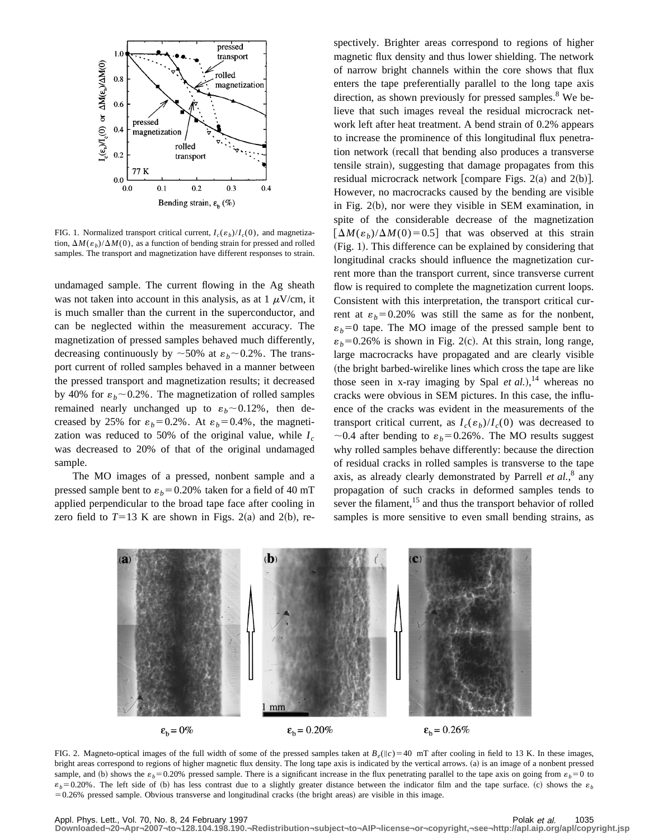

FIG. 1. Normalized transport critical current,  $I_c(\varepsilon_b)/I_c(0)$ , and magnetization,  $\Delta M(\varepsilon_b)/\Delta M(0)$ , as a function of bending strain for pressed and rolled samples. The transport and magnetization have different responses to strain.

undamaged sample. The current flowing in the Ag sheath was not taken into account in this analysis, as at  $1 \mu V/cm$ , it is much smaller than the current in the superconductor, and can be neglected within the measurement accuracy. The magnetization of pressed samples behaved much differently, decreasing continuously by  $\sim$  50% at  $\varepsilon_b$  ~ 0.2%. The transport current of rolled samples behaved in a manner between the pressed transport and magnetization results; it decreased by 40% for  $\varepsilon_b$  ~ 0.2%. The magnetization of rolled samples remained nearly unchanged up to  $\varepsilon_b \sim 0.12\%$ , then decreased by 25% for  $\varepsilon_b = 0.2$ %. At  $\varepsilon_b = 0.4$ %, the magnetization was reduced to 50% of the original value, while  $I_c$ was decreased to 20% of that of the original undamaged sample.

The MO images of a pressed, nonbent sample and a pressed sample bent to  $\varepsilon_b$ =0.20% taken for a field of 40 mT applied perpendicular to the broad tape face after cooling in zero field to  $T=13$  K are shown in Figs. 2(a) and 2(b), respectively. Brighter areas correspond to regions of higher magnetic flux density and thus lower shielding. The network of narrow bright channels within the core shows that flux enters the tape preferentially parallel to the long tape axis direction, as shown previously for pressed samples. $8$  We believe that such images reveal the residual microcrack network left after heat treatment. A bend strain of 0.2% appears to increase the prominence of this longitudinal flux penetration network (recall that bending also produces a transverse tensile strain), suggesting that damage propagates from this residual microcrack network [compare Figs.  $2(a)$  and  $2(b)$ ]. However, no macrocracks caused by the bending are visible in Fig.  $2(b)$ , nor were they visible in SEM examination, in spite of the considerable decrease of the magnetization  $\left[\Delta M(\varepsilon_h)/\Delta M(0)=0.5\right]$  that was observed at this strain  $(Fig. 1)$ . This difference can be explained by considering that longitudinal cracks should influence the magnetization current more than the transport current, since transverse current flow is required to complete the magnetization current loops. Consistent with this interpretation, the transport critical current at  $\varepsilon_b = 0.20\%$  was still the same as for the nonbent,  $\varepsilon_b = 0$  tape. The MO image of the pressed sample bent to  $\varepsilon_b$ =0.26% is shown in Fig. 2(c). At this strain, long range, large macrocracks have propagated and are clearly visible (the bright barbed-wirelike lines which cross the tape are like those seen in x-ray imaging by Spal  $et al.$ ),<sup>14</sup> whereas no cracks were obvious in SEM pictures. In this case, the influence of the cracks was evident in the measurements of the transport critical current, as  $I_c(\varepsilon_b)/I_c(0)$  was decreased to  $\sim$ 0.4 after bending to  $\varepsilon_b$ =0.26%. The MO results suggest why rolled samples behave differently: because the direction of residual cracks in rolled samples is transverse to the tape axis, as already clearly demonstrated by Parrell *et al.*, <sup>8</sup> any propagation of such cracks in deformed samples tends to sever the filament,<sup>15</sup> and thus the transport behavior of rolled samples is more sensitive to even small bending strains, as



FIG. 2. Magneto-optical images of the full width of some of the pressed samples taken at  $B_e(\vert c) = 40$  mT after cooling in field to 13 K. In these images, bright areas correspond to regions of higher magnetic flux density. The long tape axis is indicated by the vertical arrows. (a) is an image of a nonbent pressed sample, and (b) shows the  $\varepsilon_b = 0.20\%$  pressed sample. There is a significant increase in the flux penetrating parallel to the tape axis on going from  $\varepsilon_b = 0$  to  $\varepsilon_b$ =0.20%. The left side of (b) has less contrast due to a slightly greater distance between the indicator film and the tape surface. (c) shows the  $\varepsilon_b$  $=0.26\%$  pressed sample. Obvious transverse and longitudinal cracks (the bright areas) are visible in this image.

Appl. Phys. Lett., Vol. 70, No. 8, 24 February 1997 **Polace and Apple 2018** Polak et al. 1035 **Downloaded¬20¬Apr¬2007¬to¬128.104.198.190.¬Redistribution¬subject¬to¬AIP¬license¬or¬copyright,¬see¬http://apl.aip.org/apl/copyright.jsp**